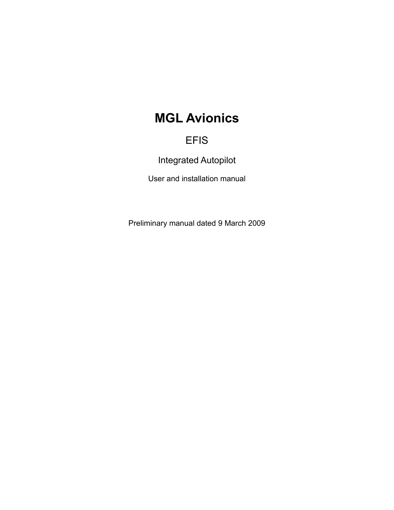# **MGL Avionics**

## EFIS

Integrated Autopilot

User and installation manual

Preliminary manual dated 9 March 2009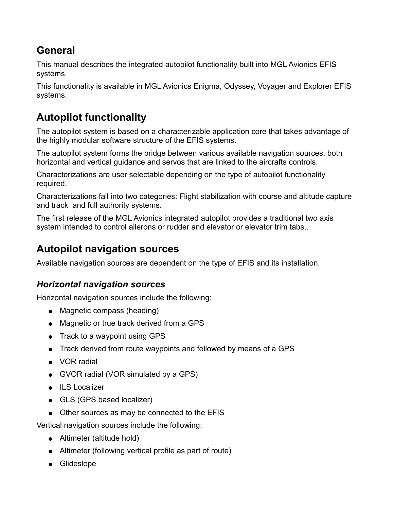## **General**

This manual describes the integrated autopilot functionality built into MGL Avionics EFIS systems.

This functionality is available in MGL Avionics Enigma, Odyssey, Voyager and Explorer EFIS systems.

# **Autopilot functionality**

The autopilot system is based on a characterizable application core that takes advantage of the highly modular software structure of the EFIS systems.

The autopilot system forms the bridge between various available navigation sources, both horizontal and vertical guidance and servos that are linked to the aircrafts controls.

Characterizations are user selectable depending on the type of autopilot functionality required.

Characterizations fall into two categories: Flight stabilization with course and altitude capture and track and full authority systems.

The first release of the MGL Avionics integrated autopilot provides a traditional two axis system intended to control ailerons or rudder and elevator or elevator trim tabs..

## **Autopilot navigation sources**

Available navigation sources are dependent on the type of EFIS and its installation.

## *Horizontal navigation sources*

Horizontal navigation sources include the following:

- Magnetic compass (heading)
- Magnetic or true track derived from a GPS
- Track to a waypoint using GPS
- Track derived from route waypoints and followed by means of a GPS
- VOR radial
- GVOR radial (VOR simulated by a GPS)
- ILS Localizer
- GLS (GPS based localizer)
- Other sources as may be connected to the EFIS

Vertical navigation sources include the following:

- Altimeter (altitude hold)
- Altimeter (following vertical profile as part of route)
- Glideslope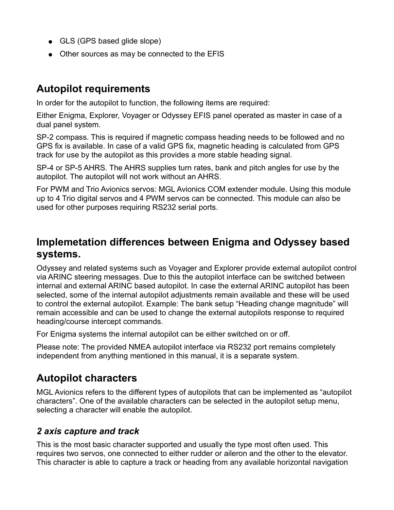- GLS (GPS based glide slope)
- Other sources as may be connected to the EFIS

## **Autopilot requirements**

In order for the autopilot to function, the following items are required:

Either Enigma, Explorer, Voyager or Odyssey EFIS panel operated as master in case of a dual panel system.

SP-2 compass. This is required if magnetic compass heading needs to be followed and no GPS fix is available. In case of a valid GPS fix, magnetic heading is calculated from GPS track for use by the autopilot as this provides a more stable heading signal.

SP-4 or SP-5 AHRS. The AHRS supplies turn rates, bank and pitch angles for use by the autopilot. The autopilot will not work without an AHRS.

For PWM and Trio Avionics servos: MGL Avionics COM extender module. Using this module up to 4 Trio digital servos and 4 PWM servos can be connected. This module can also be used for other purposes requiring RS232 serial ports.

## **Implemetation differences between Enigma and Odyssey based systems.**

Odyssey and related systems such as Voyager and Explorer provide external autopilot control via ARINC steering messages. Due to this the autopilot interface can be switched between internal and external ARINC based autopilot. In case the external ARINC autopilot has been selected, some of the internal autopilot adjustments remain available and these will be used to control the external autopilot. Example: The bank setup "Heading change magnitude" will remain accessible and can be used to change the external autopilots response to required heading/course intercept commands.

For Enigma systems the internal autopilot can be either switched on or off.

Please note: The provided NMEA autopilot interface via RS232 port remains completely independent from anything mentioned in this manual, it is a separate system.

## **Autopilot characters**

MGL Avionics refers to the different types of autopilots that can be implemented as "autopilot characters". One of the available characters can be selected in the autopilot setup menu, selecting a character will enable the autopilot.

## *2 axis capture and track*

This is the most basic character supported and usually the type most often used. This requires two servos, one connected to either rudder or aileron and the other to the elevator. This character is able to capture a track or heading from any available horizontal navigation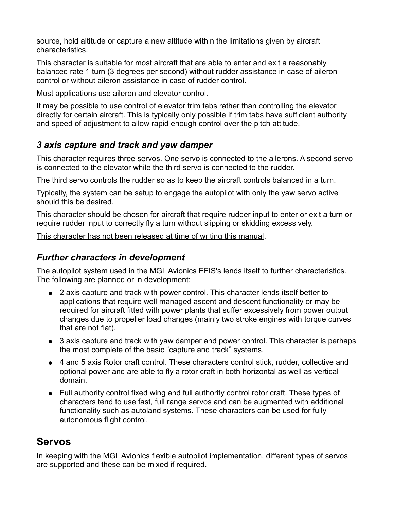source, hold altitude or capture a new altitude within the limitations given by aircraft characteristics.

This character is suitable for most aircraft that are able to enter and exit a reasonably balanced rate 1 turn (3 degrees per second) without rudder assistance in case of aileron control or without aileron assistance in case of rudder control.

Most applications use aileron and elevator control.

It may be possible to use control of elevator trim tabs rather than controlling the elevator directly for certain aircraft. This is typically only possible if trim tabs have sufficient authority and speed of adjustment to allow rapid enough control over the pitch attitude.

### *3 axis capture and track and yaw damper*

This character requires three servos. One servo is connected to the ailerons. A second servo is connected to the elevator while the third servo is connected to the rudder.

The third servo controls the rudder so as to keep the aircraft controls balanced in a turn.

Typically, the system can be setup to engage the autopilot with only the yaw servo active should this be desired.

This character should be chosen for aircraft that require rudder input to enter or exit a turn or require rudder input to correctly fly a turn without slipping or skidding excessively.

This character has not been released at time of writing this manual.

### *Further characters in development*

The autopilot system used in the MGL Avionics EFIS's lends itself to further characteristics. The following are planned or in development:

- 2 axis capture and track with power control. This character lends itself better to applications that require well managed ascent and descent functionality or may be required for aircraft fitted with power plants that suffer excessively from power output changes due to propeller load changes (mainly two stroke engines with torque curves that are not flat).
- 3 axis capture and track with yaw damper and power control. This character is perhaps the most complete of the basic "capture and track" systems.
- 4 and 5 axis Rotor craft control. These characters control stick, rudder, collective and optional power and are able to fly a rotor craft in both horizontal as well as vertical domain.
- Full authority control fixed wing and full authority control rotor craft. These types of characters tend to use fast, full range servos and can be augmented with additional functionality such as autoland systems. These characters can be used for fully autonomous flight control.

## **Servos**

In keeping with the MGL Avionics flexible autopilot implementation, different types of servos are supported and these can be mixed if required.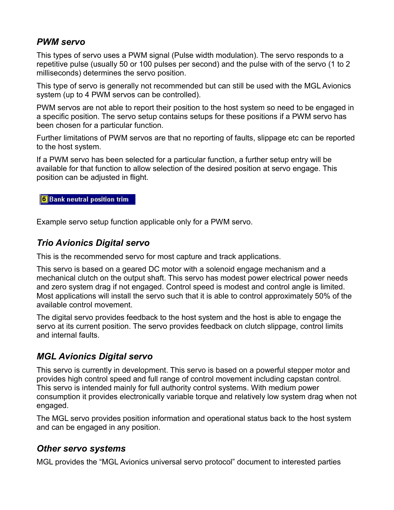### *PWM servo*

This types of servo uses a PWM signal (Pulse width modulation). The servo responds to a repetitive pulse (usually 50 or 100 pulses per second) and the pulse with of the servo (1 to 2 milliseconds) determines the servo position.

This type of servo is generally not recommended but can still be used with the MGL Avionics system (up to 4 PWM servos can be controlled).

PWM servos are not able to report their position to the host system so need to be engaged in a specific position. The servo setup contains setups for these positions if a PWM servo has been chosen for a particular function.

Further limitations of PWM servos are that no reporting of faults, slippage etc can be reported to the host system.

If a PWM servo has been selected for a particular function, a further setup entry will be available for that function to allow selection of the desired position at servo engage. This position can be adjusted in flight.

#### **6** Bank neutral position trim

Example servo setup function applicable only for a PWM servo.

### *Trio Avionics Digital servo*

This is the recommended servo for most capture and track applications.

This servo is based on a geared DC motor with a solenoid engage mechanism and a mechanical clutch on the output shaft. This servo has modest power electrical power needs and zero system drag if not engaged. Control speed is modest and control angle is limited. Most applications will install the servo such that it is able to control approximately 50% of the available control movement.

The digital servo provides feedback to the host system and the host is able to engage the servo at its current position. The servo provides feedback on clutch slippage, control limits and internal faults.

### *MGL Avionics Digital servo*

This servo is currently in development. This servo is based on a powerful stepper motor and provides high control speed and full range of control movement including capstan control. This servo is intended mainly for full authority control systems. With medium power consumption it provides electronically variable torque and relatively low system drag when not engaged.

The MGL servo provides position information and operational status back to the host system and can be engaged in any position.

#### *Other servo systems*

MGL provides the "MGL Avionics universal servo protocol" document to interested parties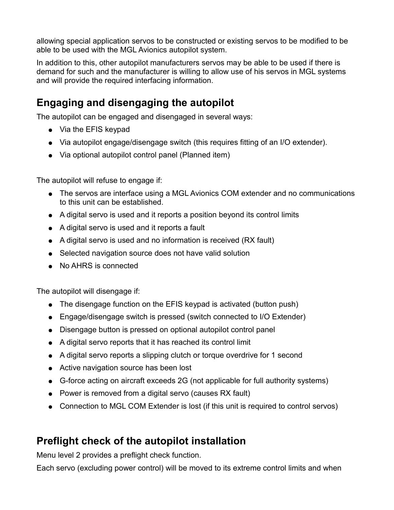allowing special application servos to be constructed or existing servos to be modified to be able to be used with the MGL Avionics autopilot system.

In addition to this, other autopilot manufacturers servos may be able to be used if there is demand for such and the manufacturer is willing to allow use of his servos in MGL systems and will provide the required interfacing information.

## **Engaging and disengaging the autopilot**

The autopilot can be engaged and disengaged in several ways:

- Via the EFIS keypad
- Via autopilot engage/disengage switch (this requires fitting of an I/O extender).
- Via optional autopilot control panel (Planned item)

The autopilot will refuse to engage if:

- The servos are interface using a MGL Avionics COM extender and no communications to this unit can be established.
- A digital servo is used and it reports a position beyond its control limits
- A digital servo is used and it reports a fault
- A digital servo is used and no information is received (RX fault)
- Selected navigation source does not have valid solution
- No AHRS is connected

The autopilot will disengage if:

- The disengage function on the EFIS keypad is activated (button push)
- Engage/disengage switch is pressed (switch connected to I/O Extender)
- Disengage button is pressed on optional autopilot control panel
- A digital servo reports that it has reached its control limit
- A digital servo reports a slipping clutch or torque overdrive for 1 second
- Active navigation source has been lost
- G-force acting on aircraft exceeds 2G (not applicable for full authority systems)
- Power is removed from a digital servo (causes RX fault)
- Connection to MGL COM Extender is lost (if this unit is required to control servos)

## **Preflight check of the autopilot installation**

Menu level 2 provides a preflight check function.

Each servo (excluding power control) will be moved to its extreme control limits and when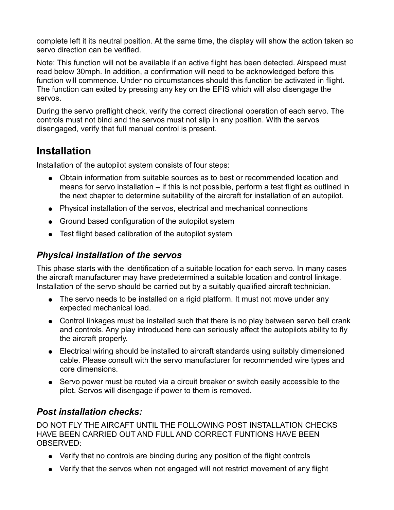complete left it its neutral position. At the same time, the display will show the action taken so servo direction can be verified.

Note: This function will not be available if an active flight has been detected. Airspeed must read below 30mph. In addition, a confirmation will need to be acknowledged before this function will commence. Under no circumstances should this function be activated in flight. The function can exited by pressing any key on the EFIS which will also disengage the servos.

During the servo preflight check, verify the correct directional operation of each servo. The controls must not bind and the servos must not slip in any position. With the servos disengaged, verify that full manual control is present.

## **Installation**

Installation of the autopilot system consists of four steps:

- Obtain information from suitable sources as to best or recommended location and means for servo installation – if this is not possible, perform a test flight as outlined in the next chapter to determine suitability of the aircraft for installation of an autopilot.
- Physical installation of the servos, electrical and mechanical connections
- Ground based configuration of the autopilot system
- Test flight based calibration of the autopilot system

## *Physical installation of the servos*

This phase starts with the identification of a suitable location for each servo. In many cases the aircraft manufacturer may have predetermined a suitable location and control linkage. Installation of the servo should be carried out by a suitably qualified aircraft technician.

- The servo needs to be installed on a rigid platform. It must not move under any expected mechanical load.
- Control linkages must be installed such that there is no play between servo bell crank and controls. Any play introduced here can seriously affect the autopilots ability to fly the aircraft properly.
- Electrical wiring should be installed to aircraft standards using suitably dimensioned cable. Please consult with the servo manufacturer for recommended wire types and core dimensions.
- Servo power must be routed via a circuit breaker or switch easily accessible to the pilot. Servos will disengage if power to them is removed.

## *Post installation checks:*

DO NOT FLY THE AIRCAFT UNTIL THE FOLLOWING POST INSTALLATION CHECKS HAVE BEEN CARRIED OUT AND FULL AND CORRECT FUNTIONS HAVE BEEN OBSERVED:

- Verify that no controls are binding during any position of the flight controls
- Verify that the servos when not engaged will not restrict movement of any flight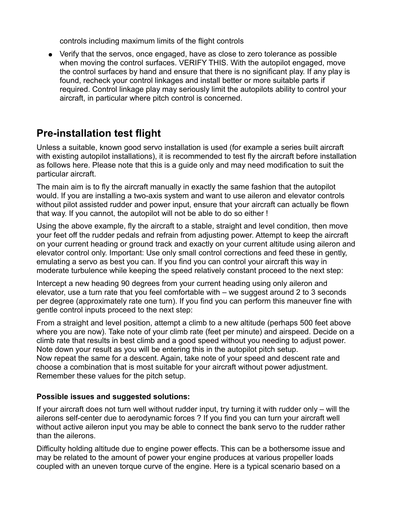controls including maximum limits of the flight controls

● Verify that the servos, once engaged, have as close to zero tolerance as possible when moving the control surfaces. VERIFY THIS. With the autopilot engaged, move the control surfaces by hand and ensure that there is no significant play. If any play is found, recheck your control linkages and install better or more suitable parts if required. Control linkage play may seriously limit the autopilots ability to control your aircraft, in particular where pitch control is concerned.

## **Pre-installation test flight**

Unless a suitable, known good servo installation is used (for example a series built aircraft with existing autopilot installations), it is recommended to test fly the aircraft before installation as follows here. Please note that this is a guide only and may need modification to suit the particular aircraft.

The main aim is to fly the aircraft manually in exactly the same fashion that the autopilot would. If you are installing a two-axis system and want to use aileron and elevator controls without pilot assisted rudder and power input, ensure that your aircraft can actually be flown that way. If you cannot, the autopilot will not be able to do so either !

Using the above example, fly the aircraft to a stable, straight and level condition, then move your feet off the rudder pedals and refrain from adjusting power. Attempt to keep the aircraft on your current heading or ground track and exactly on your current altitude using aileron and elevator control only. Important: Use only small control corrections and feed these in gently, emulating a servo as best you can. If you find you can control your aircraft this way in moderate turbulence while keeping the speed relatively constant proceed to the next step:

Intercept a new heading 90 degrees from your current heading using only aileron and elevator, use a turn rate that you feel comfortable with – we suggest around 2 to 3 seconds per degree (approximately rate one turn). If you find you can perform this maneuver fine with gentle control inputs proceed to the next step:

From a straight and level position, attempt a climb to a new altitude (perhaps 500 feet above where you are now). Take note of your climb rate (feet per minute) and airspeed. Decide on a climb rate that results in best climb and a good speed without you needing to adjust power. Note down your result as you will be entering this in the autopilot pitch setup. Now repeat the same for a descent. Again, take note of your speed and descent rate and choose a combination that is most suitable for your aircraft without power adjustment. Remember these values for the pitch setup.

#### **Possible issues and suggested solutions:**

If your aircraft does not turn well without rudder input, try turning it with rudder only – will the ailerons self-center due to aerodynamic forces ? If you find you can turn your aircraft well without active aileron input you may be able to connect the bank servo to the rudder rather than the ailerons.

Difficulty holding altitude due to engine power effects. This can be a bothersome issue and may be related to the amount of power your engine produces at various propeller loads coupled with an uneven torque curve of the engine. Here is a typical scenario based on a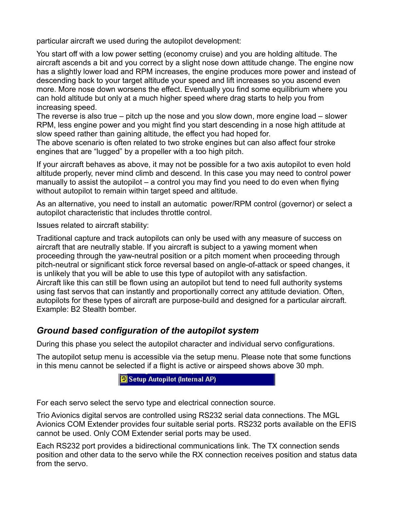particular aircraft we used during the autopilot development:

You start off with a low power setting (economy cruise) and you are holding altitude. The aircraft ascends a bit and you correct by a slight nose down attitude change. The engine now has a slightly lower load and RPM increases, the engine produces more power and instead of descending back to your target altitude your speed and lift increases so you ascend even more. More nose down worsens the effect. Eventually you find some equilibrium where you can hold altitude but only at a much higher speed where drag starts to help you from increasing speed.

The reverse is also true – pitch up the nose and you slow down, more engine load – slower RPM, less engine power and you might find you start descending in a nose high attitude at slow speed rather than gaining altitude, the effect you had hoped for.

The above scenario is often related to two stroke engines but can also affect four stroke engines that are "lugged" by a propeller with a too high pitch.

If your aircraft behaves as above, it may not be possible for a two axis autopilot to even hold altitude properly, never mind climb and descend. In this case you may need to control power manually to assist the autopilot – a control you may find you need to do even when flying without autopilot to remain within target speed and altitude.

As an alternative, you need to install an automatic power/RPM control (governor) or select a autopilot characteristic that includes throttle control.

Issues related to aircraft stability:

Traditional capture and track autopilots can only be used with any measure of success on aircraft that are neutrally stable. If you aircraft is subject to a yawing moment when proceeding through the yaw-neutral position or a pitch moment when proceeding through pitch-neutral or significant stick force reversal based on angle-of-attack or speed changes, it is unlikely that you will be able to use this type of autopilot with any satisfaction. Aircraft like this can still be flown using an autopilot but tend to need full authority systems using fast servos that can instantly and proportionally correct any attitude deviation. Often, autopilots for these types of aircraft are purpose-build and designed for a particular aircraft. Example: B2 Stealth bomber.

### *Ground based configuration of the autopilot system*

During this phase you select the autopilot character and individual servo configurations.

The autopilot setup menu is accessible via the setup menu. Please note that some functions in this menu cannot be selected if a flight is active or airspeed shows above 30 mph.

Setup Autopilot (Internal AP)

For each servo select the servo type and electrical connection source.

Trio Avionics digital servos are controlled using RS232 serial data connections. The MGL Avionics COM Extender provides four suitable serial ports. RS232 ports available on the EFIS cannot be used. Only COM Extender serial ports may be used.

Each RS232 port provides a bidirectional communications link. The TX connection sends position and other data to the servo while the RX connection receives position and status data from the servo.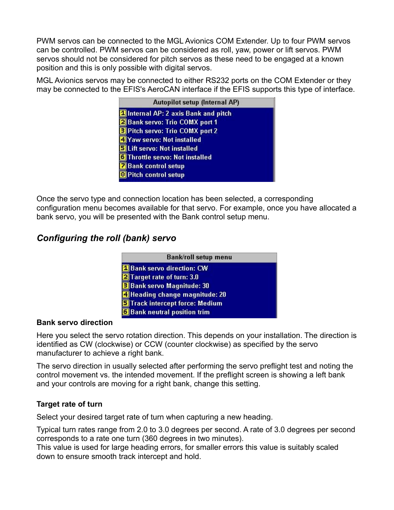PWM servos can be connected to the MGL Avionics COM Extender. Up to four PWM servos can be controlled. PWM servos can be considered as roll, yaw, power or lift servos. PWM servos should not be considered for pitch servos as these need to be engaged at a known position and this is only possible with digital servos.

MGL Avionics servos may be connected to either RS232 ports on the COM Extender or they may be connected to the EFIS's AeroCAN interface if the EFIS supports this type of interface.

| Autopilot setup (Internal AP)           |  |
|-----------------------------------------|--|
| Internal AP: 2 axis Bank and pitch      |  |
| 2 Bank servo: Trio COMX port 1          |  |
| <b>El Pitch servo: Trio COMX port 2</b> |  |
| 4 Yaw servo: Not installed              |  |
| <b>5</b> Lift servo: Not installed      |  |
| <b>6</b> Throttle servo: Not installed  |  |
| <b>Z</b> Bank control setup             |  |
| <b>B</b> Pitch control setup            |  |
|                                         |  |

Once the servo type and connection location has been selected, a corresponding configuration menu becomes available for that servo. For example, once you have allocated a bank servo, you will be presented with the Bank control setup menu.

## *Configuring the roll (bank) servo*

| Bank/roll setup menu                   |  |
|----------------------------------------|--|
| <b>1 Bank servo direction: CW</b>      |  |
| 2 Target rate of turn: 3.0             |  |
| <b>B</b> Bank servo Magnitude: 30      |  |
| 4 Heading change magnitude: 20         |  |
| <b>S</b> Track intercept force: Medium |  |
| 6 Bank neutral position trim           |  |

#### **Bank servo direction**

Here you select the servo rotation direction. This depends on your installation. The direction is identified as CW (clockwise) or CCW (counter clockwise) as specified by the servo manufacturer to achieve a right bank.

The servo direction in usually selected after performing the servo preflight test and noting the control movement vs. the intended movement. If the preflight screen is showing a left bank and your controls are moving for a right bank, change this setting.

#### **Target rate of turn**

Select your desired target rate of turn when capturing a new heading.

Typical turn rates range from 2.0 to 3.0 degrees per second. A rate of 3.0 degrees per second corresponds to a rate one turn (360 degrees in two minutes).

This value is used for large heading errors, for smaller errors this value is suitably scaled down to ensure smooth track intercept and hold.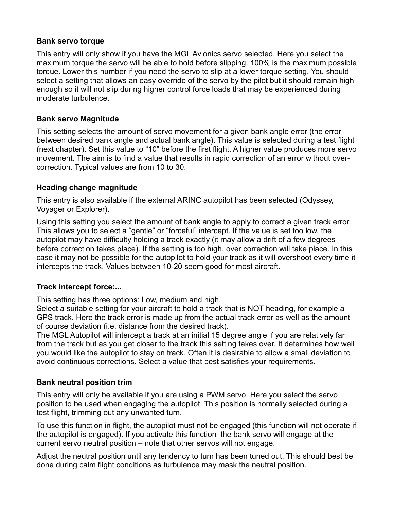#### **Bank servo torque**

This entry will only show if you have the MGL Avionics servo selected. Here you select the maximum torque the servo will be able to hold before slipping. 100% is the maximum possible torque. Lower this number if you need the servo to slip at a lower torque setting. You should select a setting that allows an easy override of the servo by the pilot but it should remain high enough so it will not slip during higher control force loads that may be experienced during moderate turbulence.

#### **Bank servo Magnitude**

This setting selects the amount of servo movement for a given bank angle error (the error between desired bank angle and actual bank angle). This value is selected during a test flight (next chapter). Set this value to "10" before the first flight. A higher value produces more servo movement. The aim is to find a value that results in rapid correction of an error without overcorrection. Typical values are from 10 to 30.

#### **Heading change magnitude**

This entry is also available if the external ARINC autopilot has been selected (Odyssey, Voyager or Explorer).

Using this setting you select the amount of bank angle to apply to correct a given track error. This allows you to select a "gentle" or "forceful" intercept. If the value is set too low, the autopilot may have difficulty holding a track exactly (it may allow a drift of a few degrees before correction takes place). If the setting is too high, over correction will take place. In this case it may not be possible for the autopilot to hold your track as it will overshoot every time it intercepts the track. Values between 10-20 seem good for most aircraft.

#### **Track intercept force:...**

This setting has three options: Low, medium and high.

Select a suitable setting for your aircraft to hold a track that is NOT heading, for example a GPS track. Here the track error is made up from the actual track error as well as the amount of course deviation (i.e. distance from the desired track).

The MGL Autopilot will intercept a track at an initial 15 degree angle if you are relatively far from the track but as you get closer to the track this setting takes over. It determines how well you would like the autopilot to stay on track. Often it is desirable to allow a small deviation to avoid continuous corrections. Select a value that best satisfies your requirements.

#### **Bank neutral position trim**

This entry will only be available if you are using a PWM servo. Here you select the servo position to be used when engaging the autopilot. This position is normally selected during a test flight, trimming out any unwanted turn.

To use this function in flight, the autopilot must not be engaged (this function will not operate if the autopilot is engaged). If you activate this function the bank servo will engage at the current servo neutral position – note that other servos will not engage.

Adjust the neutral position until any tendency to turn has been tuned out. This should best be done during calm flight conditions as turbulence may mask the neutral position.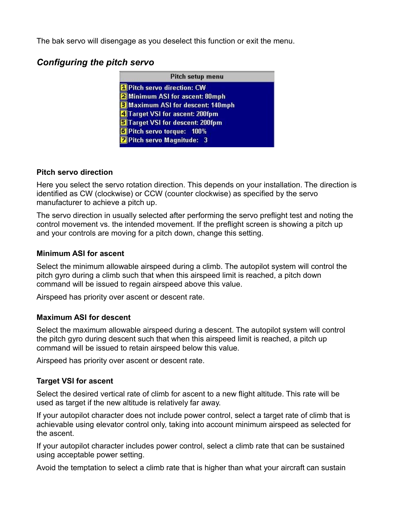The bak servo will disengage as you deselect this function or exit the menu.

## *Configuring the pitch servo*

| Pitch setup menu                         |  |
|------------------------------------------|--|
| <sup>1</sup> Pitch servo direction: CW   |  |
| 2 Minimum ASI for ascent: 80mph          |  |
| <b>3 Maximum ASI for descent: 140mph</b> |  |
| 4 Target VSI for ascent: 200fpm          |  |
| STarget VSI for descent: 200fpm          |  |
| 6 Pitch servo torque: 100%               |  |
| 7 Pitch servo Magnitude: 3               |  |

#### **Pitch servo direction**

Here you select the servo rotation direction. This depends on your installation. The direction is identified as CW (clockwise) or CCW (counter clockwise) as specified by the servo manufacturer to achieve a pitch up.

The servo direction in usually selected after performing the servo preflight test and noting the control movement vs. the intended movement. If the preflight screen is showing a pitch up and your controls are moving for a pitch down, change this setting.

#### **Minimum ASI for ascent**

Select the minimum allowable airspeed during a climb. The autopilot system will control the pitch gyro during a climb such that when this airspeed limit is reached, a pitch down command will be issued to regain airspeed above this value.

Airspeed has priority over ascent or descent rate.

#### **Maximum ASI for descent**

Select the maximum allowable airspeed during a descent. The autopilot system will control the pitch gyro during descent such that when this airspeed limit is reached, a pitch up command will be issued to retain airspeed below this value.

Airspeed has priority over ascent or descent rate.

#### **Target VSI for ascent**

Select the desired vertical rate of climb for ascent to a new flight altitude. This rate will be used as target if the new altitude is relatively far away.

If your autopilot character does not include power control, select a target rate of climb that is achievable using elevator control only, taking into account minimum airspeed as selected for the ascent.

If your autopilot character includes power control, select a climb rate that can be sustained using acceptable power setting.

Avoid the temptation to select a climb rate that is higher than what your aircraft can sustain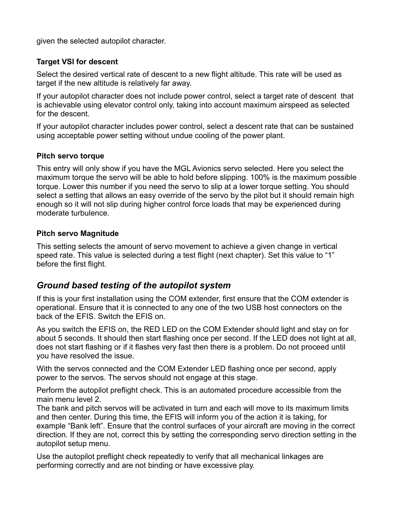given the selected autopilot character.

#### **Target VSI for descent**

Select the desired vertical rate of descent to a new flight altitude. This rate will be used as target if the new altitude is relatively far away.

If your autopilot character does not include power control, select a target rate of descent that is achievable using elevator control only, taking into account maximum airspeed as selected for the descent.

If your autopilot character includes power control, select a descent rate that can be sustained using acceptable power setting without undue cooling of the power plant.

#### **Pitch servo torque**

This entry will only show if you have the MGL Avionics servo selected. Here you select the maximum torque the servo will be able to hold before slipping. 100% is the maximum possible torque. Lower this number if you need the servo to slip at a lower torque setting. You should select a setting that allows an easy override of the servo by the pilot but it should remain high enough so it will not slip during higher control force loads that may be experienced during moderate turbulence.

#### **Pitch servo Magnitude**

This setting selects the amount of servo movement to achieve a given change in vertical speed rate. This value is selected during a test flight (next chapter). Set this value to "1" before the first flight.

#### *Ground based testing of the autopilot system*

If this is your first installation using the COM extender, first ensure that the COM extender is operational. Ensure that it is connected to any one of the two USB host connectors on the back of the EFIS. Switch the EFIS on.

As you switch the EFIS on, the RED LED on the COM Extender should light and stay on for about 5 seconds. It should then start flashing once per second. If the LED does not light at all, does not start flashing or if it flashes very fast then there is a problem. Do not proceed until you have resolved the issue.

With the servos connected and the COM Extender LED flashing once per second, apply power to the servos. The servos should not engage at this stage.

Perform the autopilot preflight check. This is an automated procedure accessible from the main menu level 2.

The bank and pitch servos will be activated in turn and each will move to its maximum limits and then center. During this time, the EFIS will inform you of the action it is taking, for example "Bank left". Ensure that the control surfaces of your aircraft are moving in the correct direction. If they are not, correct this by setting the corresponding servo direction setting in the autopilot setup menu.

Use the autopilot preflight check repeatedly to verify that all mechanical linkages are performing correctly and are not binding or have excessive play.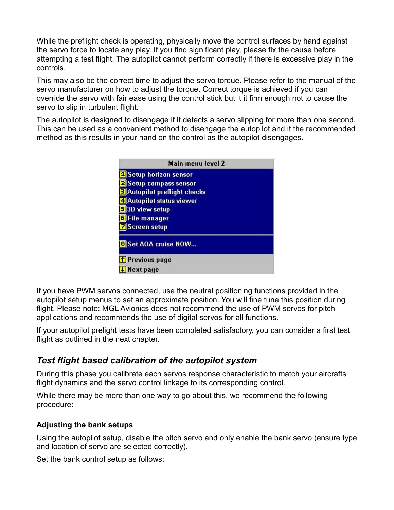While the preflight check is operating, physically move the control surfaces by hand against the servo force to locate any play. If you find significant play, please fix the cause before attempting a test flight. The autopilot cannot perform correctly if there is excessive play in the controls.

This may also be the correct time to adjust the servo torque. Please refer to the manual of the servo manufacturer on how to adjust the torque. Correct torque is achieved if you can override the servo with fair ease using the control stick but it it firm enough not to cause the servo to slip in turbulent flight.

The autopilot is designed to disengage if it detects a servo slipping for more than one second. This can be used as a convenient method to disengage the autopilot and it the recommended method as this results in your hand on the control as the autopilot disengages.

| Main menu level 2                                                   |  |
|---------------------------------------------------------------------|--|
| <b>Setup horizon sensor</b><br>Setup compass sensor                 |  |
| <b>Autopilot preflight checks</b><br><b>Autopilot status viewer</b> |  |
| 3D view setup<br>File manager                                       |  |
| <b>Screen setup</b>                                                 |  |
| Set AOA cruise NOW                                                  |  |
| T Previous page                                                     |  |
| lext page                                                           |  |

If you have PWM servos connected, use the neutral positioning functions provided in the autopilot setup menus to set an approximate position. You will fine tune this position during flight. Please note: MGL Avionics does not recommend the use of PWM servos for pitch applications and recommends the use of digital servos for all functions.

If your autopilot prelight tests have been completed satisfactory, you can consider a first test flight as outlined in the next chapter.

### *Test flight based calibration of the autopilot system*

During this phase you calibrate each servos response characteristic to match your aircrafts flight dynamics and the servo control linkage to its corresponding control.

While there may be more than one way to go about this, we recommend the following procedure:

#### **Adjusting the bank setups**

Using the autopilot setup, disable the pitch servo and only enable the bank servo (ensure type and location of servo are selected correctly).

Set the bank control setup as follows: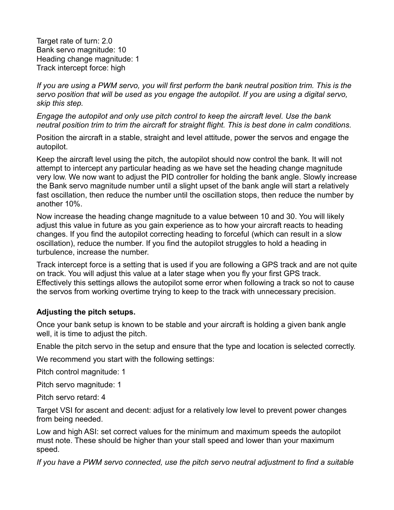Target rate of turn: 2.0 Bank servo magnitude: 10 Heading change magnitude: 1 Track intercept force: high

*If you are using a PWM servo, you will first perform the bank neutral position trim. This is the servo position that will be used as you engage the autopilot. If you are using a digital servo, skip this step.*

*Engage the autopilot and only use pitch control to keep the aircraft level. Use the bank neutral position trim to trim the aircraft for straight flight. This is best done in calm conditions.*

Position the aircraft in a stable, straight and level attitude, power the servos and engage the autopilot.

Keep the aircraft level using the pitch, the autopilot should now control the bank. It will not attempt to intercept any particular heading as we have set the heading change magnitude very low. We now want to adjust the PID controller for holding the bank angle. Slowly increase the Bank servo magnitude number until a slight upset of the bank angle will start a relatively fast oscillation, then reduce the number until the oscillation stops, then reduce the number by another 10%.

Now increase the heading change magnitude to a value between 10 and 30. You will likely adjust this value in future as you gain experience as to how your aircraft reacts to heading changes. If you find the autopilot correcting heading to forceful (which can result in a slow oscillation), reduce the number. If you find the autopilot struggles to hold a heading in turbulence, increase the number.

Track intercept force is a setting that is used if you are following a GPS track and are not quite on track. You will adjust this value at a later stage when you fly your first GPS track. Effectively this settings allows the autopilot some error when following a track so not to cause the servos from working overtime trying to keep to the track with unnecessary precision.

#### **Adjusting the pitch setups.**

Once your bank setup is known to be stable and your aircraft is holding a given bank angle well, it is time to adjust the pitch.

Enable the pitch servo in the setup and ensure that the type and location is selected correctly.

We recommend you start with the following settings:

Pitch control magnitude: 1

Pitch servo magnitude: 1

Pitch servo retard: 4

Target VSI for ascent and decent: adjust for a relatively low level to prevent power changes from being needed.

Low and high ASI: set correct values for the minimum and maximum speeds the autopilot must note. These should be higher than your stall speed and lower than your maximum speed.

*If you have a PWM servo connected, use the pitch servo neutral adjustment to find a suitable*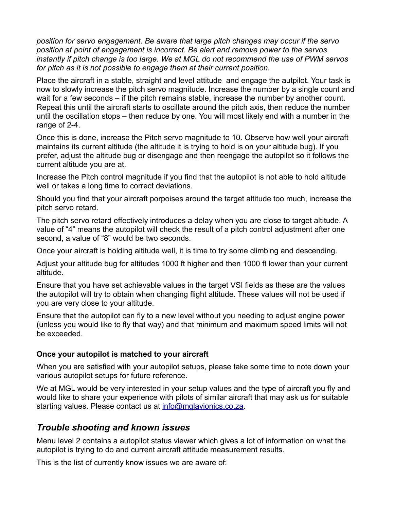*position for servo engagement. Be aware that large pitch changes may occur if the servo position at point of engagement is incorrect. Be alert and remove power to the servos instantly if pitch change is too large. We at MGL do not recommend the use of PWM servos for pitch as it is not possible to engage them at their current position.*

Place the aircraft in a stable, straight and level attitude and engage the autpilot. Your task is now to slowly increase the pitch servo magnitude. Increase the number by a single count and wait for a few seconds – if the pitch remains stable, increase the number by another count. Repeat this until the aircraft starts to oscillate around the pitch axis, then reduce the number until the oscillation stops – then reduce by one. You will most likely end with a number in the range of 2-4.

Once this is done, increase the Pitch servo magnitude to 10. Observe how well your aircraft maintains its current altitude (the altitude it is trying to hold is on your altitude bug). If you prefer, adjust the altitude bug or disengage and then reengage the autopilot so it follows the current altitude you are at.

Increase the Pitch control magnitude if you find that the autopilot is not able to hold altitude well or takes a long time to correct deviations.

Should you find that your aircraft porpoises around the target altitude too much, increase the pitch servo retard.

The pitch servo retard effectively introduces a delay when you are close to target altitude. A value of "4" means the autopilot will check the result of a pitch control adjustment after one second, a value of "8" would be two seconds.

Once your aircraft is holding altitude well, it is time to try some climbing and descending.

Adjust your altitude bug for altitudes 1000 ft higher and then 1000 ft lower than your current altitude.

Ensure that you have set achievable values in the target VSI fields as these are the values the autopilot will try to obtain when changing flight altitude. These values will not be used if you are very close to your altitude.

Ensure that the autopilot can fly to a new level without you needing to adjust engine power (unless you would like to fly that way) and that minimum and maximum speed limits will not be exceeded.

#### **Once your autopilot is matched to your aircraft**

When you are satisfied with your autopilot setups, please take some time to note down your various autopilot setups for future reference.

We at MGL would be very interested in your setup values and the type of aircraft you fly and would like to share your experience with pilots of similar aircraft that may ask us for suitable starting values. Please contact us at [info@mglavionics.co.za.](mailto:info@mglavionics.co.za)

### *Trouble shooting and known issues*

Menu level 2 contains a autopilot status viewer which gives a lot of information on what the autopilot is trying to do and current aircraft attitude measurement results.

This is the list of currently know issues we are aware of: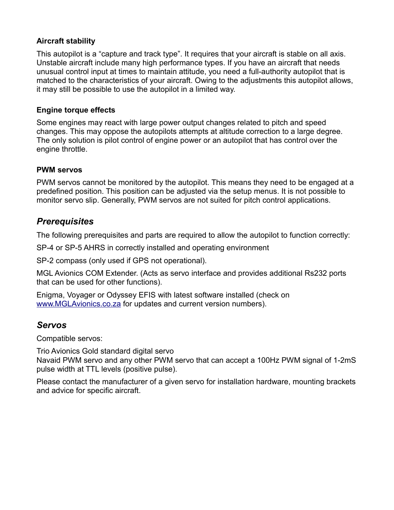#### **Aircraft stability**

This autopilot is a "capture and track type". It requires that your aircraft is stable on all axis. Unstable aircraft include many high performance types. If you have an aircraft that needs unusual control input at times to maintain attitude, you need a full-authority autopilot that is matched to the characteristics of your aircraft. Owing to the adjustments this autopilot allows, it may still be possible to use the autopilot in a limited way.

#### **Engine torque effects**

Some engines may react with large power output changes related to pitch and speed changes. This may oppose the autopilots attempts at altitude correction to a large degree. The only solution is pilot control of engine power or an autopilot that has control over the engine throttle.

#### **PWM servos**

PWM servos cannot be monitored by the autopilot. This means they need to be engaged at a predefined position. This position can be adjusted via the setup menus. It is not possible to monitor servo slip. Generally, PWM servos are not suited for pitch control applications.

#### *Prerequisites*

The following prerequisites and parts are required to allow the autopilot to function correctly:

SP-4 or SP-5 AHRS in correctly installed and operating environment

SP-2 compass (only used if GPS not operational).

MGL Avionics COM Extender. (Acts as servo interface and provides additional Rs232 ports that can be used for other functions).

Enigma, Voyager or Odyssey EFIS with latest software installed (check on [www.MGLAvionics.co.za](http://www.MGLAvionics.co.za/) for updates and current version numbers).

#### *Servos*

Compatible servos:

Trio Avionics Gold standard digital servo Navaid PWM servo and any other PWM servo that can accept a 100Hz PWM signal of 1-2mS pulse width at TTL levels (positive pulse).

Please contact the manufacturer of a given servo for installation hardware, mounting brackets and advice for specific aircraft.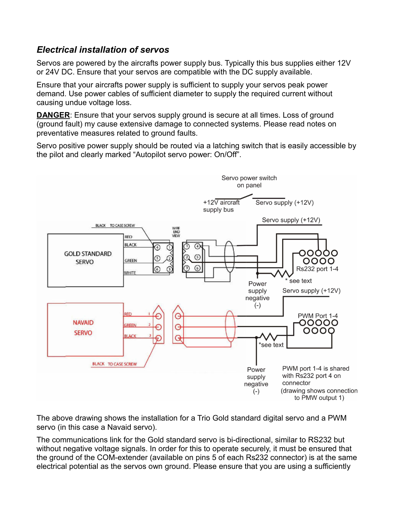### *Electrical installation of servos*

Servos are powered by the aircrafts power supply bus. Typically this bus supplies either 12V or 24V DC. Ensure that your servos are compatible with the DC supply available.

Ensure that your aircrafts power supply is sufficient to supply your servos peak power demand. Use power cables of sufficient diameter to supply the required current without causing undue voltage loss.

**DANGER:** Ensure that your servos supply ground is secure at all times. Loss of ground (ground fault) my cause extensive damage to connected systems. Please read notes on preventative measures related to ground faults.

Servo positive power supply should be routed via a latching switch that is easily accessible by the pilot and clearly marked "Autopilot servo power: On/Off".



The above drawing shows the installation for a Trio Gold standard digital servo and a PWM servo (in this case a Navaid servo).

The communications link for the Gold standard servo is bi-directional, similar to RS232 but without negative voltage signals. In order for this to operate securely, it must be ensured that the ground of the COM-extender (available on pins 5 of each Rs232 connector) is at the same electrical potential as the servos own ground. Please ensure that you are using a sufficiently